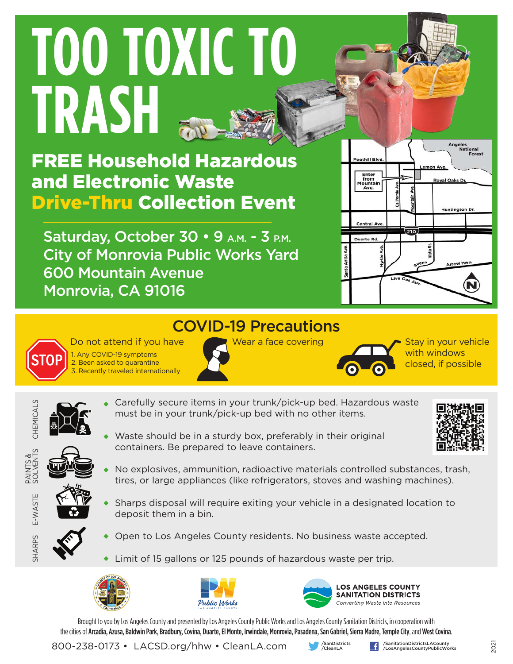# **TOO TOXIC TO TRASH**

FREE Household Hazardous and Electronic Waste Drive-Thru Collection Event

Saturday, October 30 • 9 A.M. - 3 P.M. City of Monrovia Public Works Yard 600 Mountain Avenue Monrovia, CA 91016

Do not attend if you have

1. Any COVID-19 symptoms 2. Been asked to quarantine 3. Recently traveled internationally



### COVID-19 Precautions

Wear a face covering  $\overline{\phantom{a}}$  Stay in your vehicle



with windows closed, if possible

- CHEMICALS CHEMICALS
- Carefully secure items in your trunk/pick-up bed. Hazardous waste must be in your trunk/pick-up bed with no other items.
- Waste should be in a sturdy box, preferably in their original containers. Be prepared to leave containers.



PAINTS &<br>SOLVENTS SOLVENTS

E-WASTE

E-WASTE

SHARPS

- 
- No explosives, ammunition, radioactive materials controlled substances, trash, tires, or large appliances (like refrigerators, stoves and washing machines).
- Sharps disposal will require exiting your vehicle in a designated location to deposit them in a bin.
- 
- Open to Los Angeles County residents. No business waste accepted.
- Limit of 15 gallons or 125 pounds of hazardous waste per trip.







Brought to you by Los Angeles County and presented by Los Angeles County Public Works and Los Angeles County Sanitation Districts, in cooperation with the cities of Arcadia, Azusa, Baldwin Park, Bradbury, Covina, Duarte, El Monte, Irwindale, Monrovia, Pasadena, San Gabriel, Sierra Madre, Temple City, and West Covina.

800-238-0173 • LACSD.org/hhw • CleanLA.com

/SanDistricts<br>/CleanLA